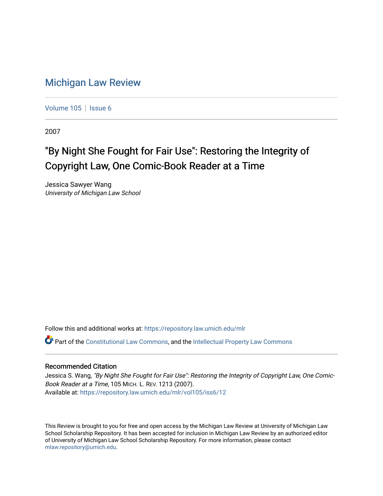# [Michigan Law Review](https://repository.law.umich.edu/mlr)

[Volume 105](https://repository.law.umich.edu/mlr/vol105) | [Issue 6](https://repository.law.umich.edu/mlr/vol105/iss6)

2007

# "By Night She Fought for Fair Use": Restoring the Integrity of Copyright Law, One Comic-Book Reader at a Time

Jessica Sawyer Wang University of Michigan Law School

Follow this and additional works at: [https://repository.law.umich.edu/mlr](https://repository.law.umich.edu/mlr?utm_source=repository.law.umich.edu%2Fmlr%2Fvol105%2Fiss6%2F12&utm_medium=PDF&utm_campaign=PDFCoverPages) 

 $\bullet$  Part of the [Constitutional Law Commons,](http://network.bepress.com/hgg/discipline/589?utm_source=repository.law.umich.edu%2Fmlr%2Fvol105%2Fiss6%2F12&utm_medium=PDF&utm_campaign=PDFCoverPages) and the [Intellectual Property Law Commons](http://network.bepress.com/hgg/discipline/896?utm_source=repository.law.umich.edu%2Fmlr%2Fvol105%2Fiss6%2F12&utm_medium=PDF&utm_campaign=PDFCoverPages)

## Recommended Citation

Jessica S. Wang, "By Night She Fought for Fair Use": Restoring the Integrity of Copyright Law, One Comic-Book Reader at a Time, 105 MICH. L. REV. 1213 (2007). Available at: [https://repository.law.umich.edu/mlr/vol105/iss6/12](https://repository.law.umich.edu/mlr/vol105/iss6/12?utm_source=repository.law.umich.edu%2Fmlr%2Fvol105%2Fiss6%2F12&utm_medium=PDF&utm_campaign=PDFCoverPages) 

This Review is brought to you for free and open access by the Michigan Law Review at University of Michigan Law School Scholarship Repository. It has been accepted for inclusion in Michigan Law Review by an authorized editor of University of Michigan Law School Scholarship Repository. For more information, please contact [mlaw.repository@umich.edu.](mailto:mlaw.repository@umich.edu)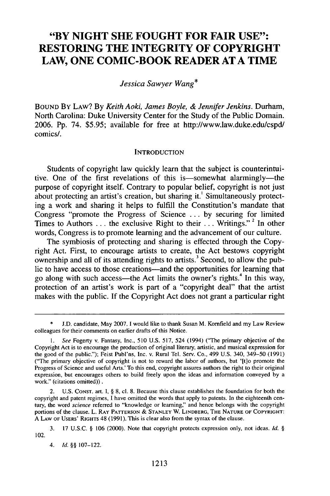# **"BY NIGHT SHE FOUGHT FOR FAIR USE": RESTORING THE INTEGRITY OF COPYRIGHT LAW, ONE COMIC-BOOK READER AT A TIME**

*Jessica Sawyer Wang\**

**BOUND** By LAW? **By** *Keith Aoki, James Boyle, & Jennifer Jenkins.* Durham, North Carolina: Duke University Center for the Study of the Public Domain. **2006. Pp.** 74. \$5.95; available for free at http://www.law.duke.edu/cspd/ comics/.

#### **INTRODUCTION**

Students of copyright law quickly learn that the subject is counterintuitive. One of the first revelations of this is—somewhat alarmingly—the purpose of copyright itself. Contrary to popular belief, copyright is not just about protecting an artist's creation, but sharing it.' Simultaneously protecting a work and sharing it helps to fulfill the Constitution's mandate that Congress "promote the Progress of Science ... by securing for limited Times to Authors  $\dots$  the exclusive Right to their  $\dots$  Writings."<sup>2</sup> In other words, Congress is to promote learning and the advancement of our culture.

The symbiosis of protecting and sharing is effected through the Copyright Act. First, to encourage artists to create, the Act bestows copyright ownership and all of its attending rights to artists.<sup>3</sup> Second, to allow the public to have access to those creations—and the opportunities for learning that go along with such access—the Act limits the owner's rights.<sup>4</sup> In this way, protection of an artist's work is part of a "copyright deal" that the artist makes with the public. If the Copyright Act does not grant a particular right

2. U.S. CONST. art. I, § 8, cl. 8. Because this clause establishes the foundation for both the copyright and patent regimes, I have omitted the words that apply to patents. In the eighteenth century, the word *science* referred to "knowledge or learning" and hence belongs with the copyright portions of the clause. L. RAY PATTERSON **& STANLEY** W. LINDBERG, THE **NATURE** OF COPYRIGHT: A LAW OF **USERS'** RIGHTS 48 (1991). This is clear also from the syntax of the clause.

4. *Id. §§* 107-122.

**<sup>\*</sup>** J.D. candidate, May 2007. I would like to thank Susan M. Komfield and my Law Review colleagues for their comments on earlier drafts of this Notice.

*See* Fogerty v. Fantasy, Inc., 510 U.S. 517, 524 (1994) ("The primary objective of the Copyright Act is to encourage the production of original literary, artistic, and musical expression for the good of the public."); Feist Publ'ns, Inc. v. Rural Tel. Serv. Co., 499 U.S. 340, 349-50 (1991) ("The primary objective of copyright is not to reward the labor of authors, but '[t]o promote the Progress of Science and useful Arts.' To this end, copyright assures authors the right to their original expression, but encourages others to build freely upon the ideas and information conveyed by a work." (citations omitted)).

<sup>3. 17</sup> U.S.C. § 106 (2000). Note that copyright protects expression only, not ideas. *Id. §* 102.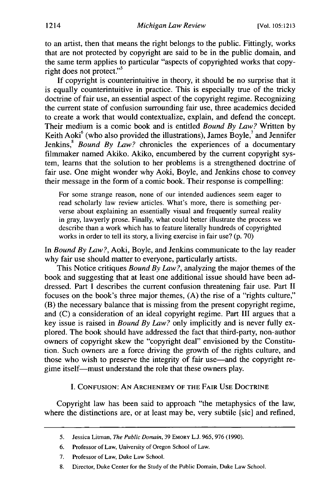to an artist, then that means the right belongs to the public. Fittingly, works that are not protected by copyright are said to be in the public domain, and the same term applies to particular "aspects of copyrighted works that copyright does not protect."<sup>5</sup>

If copyright is counterintuitive in theory, it should be no surprise that it is equally counterintuitive in practice. This is especially true of the tricky doctrine of fair use, an essential aspect of the copyright regime. Recognizing the current state of confusion surrounding fair use, three academics decided to create a work that would contextualize, explain, and defend the concept. Their medium is a comic book and is entitled *Bound By Law?* Written by Keith Aoki $<sup>6</sup>$  (who also provided the illustrations), James Boyle, $<sup>7</sup>$  and Jennifer</sup></sup> Jenkins,<sup>8</sup> *Bound By Law?* chronicles the experiences of a documentary filmmaker named Akiko. Akiko, encumbered by the current copyright system, learns that the solution to her problems is a strengthened doctrine of fair use. One might wonder why Aoki, Boyle, and Jenkins chose to convey their message in the form of a comic book. Their response is compelling:

For some strange reason, none of our intended audiences seem eager to read scholarly law review articles. What's more, there is something perverse about explaining an essentially visual and frequently surreal reality in gray, lawyerly prose. Finally, what could better illustrate the process we describe than a work which has to feature literally hundreds of copyrighted works in order to tell its story, a living exercise in fair use? (p. 70)

In *Bound By Law?,* Aoki, Boyle, and Jenkins communicate to the lay reader why fair use should matter to everyone, particularly artists.

This Notice critiques *Bound By Law?,* analyzing the major themes of the book and suggesting that at least one additional issue should have been addressed. Part I describes the current confusion threatening fair use. Part II focuses on the book's three major themes, (A) the rise of a "rights culture," (B) the necessary balance that is missing from the present copyright regime, and (C) a consideration of an ideal copyright regime. Part III argues that a key issue is raised in *Bound By Law?* only implicitly and is never fully explored. The book should have addressed the fact that third-party, non-author owners of copyright skew the "copyright deal" envisioned by the Constitution. Such owners are a force driving the growth of the rights culture, and those who wish to preserve the integrity of fair use—and the copyright regime itself-must understand the role that these owners play.

I. CONFUSION: AN ARCHENEMY OF THE FAIR USE DOCTRINE

Copyright law has been said to approach "the metaphysics of the law, where the distinctions are, or at least may be, very subtile [sic] and refined,

<sup>5.</sup> Jessica Litman, *The Public Domain,* 39 EMORY L.J. 965, 976 (1990).

<sup>6.</sup> Professor of Law, University of Oregon School of Law.

<sup>7.</sup> Professor of Law, Duke Law School.

<sup>8.</sup> Director, Duke Center for the Study of the Public Domain, Duke Law School.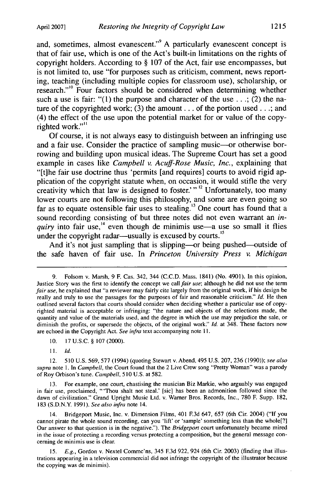and, sometimes, almost evanescent."<sup>9</sup> A particularly evanescent concept is that of fair use, which is one of the Act's built-in limitations on the rights of copyright holders. According to § 107 of the Act, fair use encompasses, but is not limited to, use "for purposes such as criticism, comment, news reporting, teaching (including multiple copies for classroom use), scholarship, or research."<sup>10</sup> Four factors should be considered when determining whether such a use is fair: "(1) the purpose and character of the use  $\ldots$ ; (2) the nature of the copyrighted work; (3) the amount **...** of the portion used...; and (4) the effect of the use upon the potential market for or value of the copyrighted work."<sup>11</sup>

Of course, it is not always easy to distinguish between an infringing use and a fair use. Consider the practice of sampling music---or otherwise borrowing and building upon musical ideas. The Supreme Court has set a good example in cases like *Campbell v. Acuff-Rose Music, Inc.,* explaining that "[tihe fair use doctrine thus 'permits [and requires] courts to avoid rigid application of the copyright statute when, on occasion, it would stifle the very creativity which that law is designed to foster.'"<sup>12</sup> Unfortunately, too many lower courts are not following this philosophy, and some are even going so far as to equate ostensible fair uses to stealing.<sup>13</sup> One court has found that a sound recording consisting of but three notes did not even warrant an *in*quiry into fair use,<sup>14</sup> even though de minimis use—a use so small it flies under the copyright radar—usually is excused by courts.<sup>15</sup>

And it's not just sampling that is slipping—or being pushed—outside of the safe haven of fair use. In *Princeton University Press v. Michigan*

13. For example, one court, chastising the musician Biz Markie, who arguably was engaged in fair use, proclaimed, "'Thou shalt not steal.' [sic] has been an admonition followed since the dawn of civilization." Grand Upright Music Ltd. v. Warner Bros. Records, Inc., 780 F. Supp. 182, 183 (S.D.N.Y. 1991). *See also infra* note 14.

14. Bridgeport Music, Inc. v. Dimension Films, 401 F.3d 647, 657 (6th Cir. 2004) ("If you cannot pirate the whole sound recording, can you 'lift' or 'sample' something less than the whole[?] Our answer to that question is in the negative."). The *Bridgeport* court unfortunately became mired in the issue of protecting a recording versus protecting a composition, but the general message conceming de minimis use is clear.

15. *E.g.,* Gordon v. Nextel Commc'ns, 345 **F.3d** 922, 924 (6th Cir. 2003) (finding that illustrations appearing in a television commercial did not infringe the copyright of the illustrator because the copying was de minimis).

<sup>9.</sup> Folsom v. Marsh, 9 F. Cas. 342, 344 (C.C.D. Mass. 1841) (No. 4901). In this opinion, Justice Story was the first to identify the concept we call *fair use;* although he did not use the term *fair use*, he explained that "a reviewer may fairly cite largely from the original work, if his design be really and truly to use the passages for the purposes of fair and reasonable criticism." *Id.* He then outlined several factors that courts should consider when deciding whether a particular use of copyrighted material is acceptable or infringing: "the nature and objects of the selections made, the quantity and value of the materials used, and the degree in which the use may prejudice the sale, or diminish the profits, or supersede the objects, of the original work." *Id.* at 348. These factors now are echoed in the Copyright Act. *See infra* text accompanying note **11.**

<sup>10. 17</sup> U.S.C. § 107 (2000).

<sup>11.</sup> *Id.*

<sup>12. 510</sup> U.S. 569, 577 (1994) (quoting Stewart v. Abend, 495 U.S. 207, 236 (1990)); *see also supra* note 1. In *Campbell,* the Court found that the 2 Live Crew song "Pretty Woman" was a parody of Roy Orbison's tune. *Campbell,* 510 **U.S.** at 582.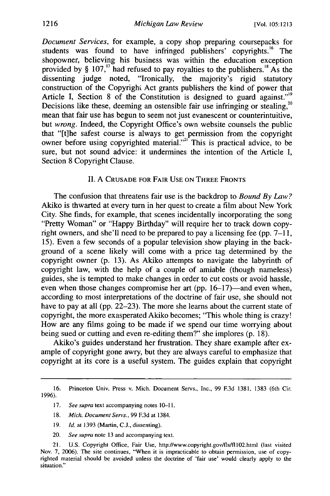*Document Services,* for example, a copy shop preparing coursepacks for students was found to have infringed publishers' copyrights.<sup>16</sup> The shopowner, believing his business was within the education exception provided by  $\S$  107,<sup>17</sup> had refused to pay royalties to the publishers.<sup>18</sup> As the dissenting judge noted, "Ironically, the majority's rigid statutory construction of the Copyright Act grants publishers the kind of power that Article I, Section 8 of the Constitution is designed to guard against."<sup>9</sup> Decisions like these, deeming an ostensible fair use infringing or stealing, $2^{\circ}$ mean that fair use has begun to seem not just evanescent or counterintuitive, but *wrong.* Indeed, the Copyright Office's own website counsels the public that "[t]he safest course is always to get permission from the copyright owner before using copyrighted material."<sup>21</sup> This is practical advice, to be sure, but not sound advice: it undermines the intention of the Article I, Section 8 Copyright Clause.

#### **II.** A CRUSADE FOR FAIR **USE ON** THREE FRONTS

The confusion that threatens fair use is the backdrop to *Bound By Law?* Akiko is thwarted at every turn in her quest to create a film about New York City. She finds, for example, that scenes incidentally incorporating the song "Pretty Woman" or "Happy Birthday" will require her to track down copyright owners, and she'll need to be prepared to pay a licensing fee (pp. 7-11, 15). Even a few seconds of a popular television show playing in the background of a scene likely will come with a price tag determined by the copyright owner (p. 13). As Akiko attempts to navigate the labyrinth of copyright law, with the help of a couple of amiable (though nameless) guides, she is tempted to make changes in order to cut costs or avoid hassle, even when those changes compromise her art (pp. 16–17)—and even when, according to most interpretations of the doctrine of fair use, she should not have to pay at all (pp. 22–23). The more she learns about the current state of copyright, the more exasperated Akiko becomes; "This whole thing is crazy! How are any films going to be made if we spend our time worrying about being sued or cutting and even re-editing them?" she implores (p. 18).

Akiko's guides understand her frustration. They share example after example of copyright gone awry, but they are always careful to emphasize that copyright at its core is a useful system. The guides explain that copyright

<sup>16.</sup> Princeton Univ. Press v. Mich. Document Servs., Inc., 99 **F.3d** 1381, 1383 (6th Cir. 1996).

<sup>17.</sup> *See supra* text accompanying notes 10-11.

<sup>18.</sup> *Mich. Document Servs.,* 99 **F.3d** at 1384.

<sup>19.</sup> *Id.* at 1393 (Martin, C.J., dissenting).

<sup>20.</sup> *See* supra note 13 and accompanying text.

<sup>21.</sup> U.S. Copyright Office, Fair Use, http://www.copyright.gov/fls/fl102.html (last visited Nov. 7, 2006). The site continues, "When it is impracticable to obtain permission, use of copyrighted material should be avoided unless the doctrine of 'fair use' would clearly apply to the situation."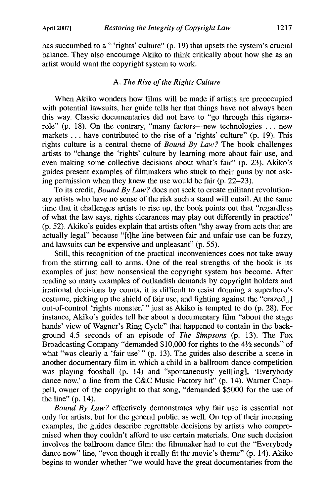has succumbed to a "'rights' culture" (p. 19) that upsets the system's crucial balance. They also encourage Akiko to think critically about how she as an artist would want the copyright system to work.

#### *A. The Rise of the Rights Culture*

When Akiko wonders how films will be made if artists are preoccupied with potential lawsuits, her guide tells her that things have not always been this way. Classic documentaries did not have to "go through this rigamarole" (p. 18). On the contrary, "many factors—new technologies ... new markets **...** have contributed to the rise of a 'rights' culture" (p. 19). This rights culture is a central theme of *Bound By Law?* The book challenges artists to "change the 'rights' culture by learning more about fair use, and even making some collective decisions about what's fair" (p. 23). Akiko's guides present examples of filmmakers who stuck to their guns by not asking permission when they knew the use would be fair (p. 22-23).

To its credit, *Bound By Law?* does not seek to create militant revolutionary artists who have no sense of the risk such a stand will entail. At the same time that it challenges artists to rise up, the book points out that "regardless of what the law says, rights clearances may play out differently in practice" (p. 52). Akiko's guides explain that artists often "shy away from acts that are actually legal" because "[t]he line between fair and unfair use can be fuzzy, and lawsuits can be expensive and unpleasant" (p. 55).

Still, this recognition of the practical inconveniences does not take away from the stirring call to arms. One of the real strengths of the book is its examples of just how nonsensical the copyright system has become. After reading so many examples of outlandish demands by copyright holders and irrational decisions by courts, it is difficult to resist donning a superhero's costume, picking up the shield of fair use, and fighting against the "crazed[,] out-of-control 'rights monster,'" just as Akiko is tempted to do (p. 28). For instance, Akiko's guides tell her about a documentary film "about the stage hands' view of Wagner's Ring Cycle" that happened to contain in the background 4.5 seconds of an episode of *The Simpsons* (p. 13). The Fox Broadcasting Company "demanded \$10,000 for rights to the 4½ seconds" of what "was clearly a 'fair use'" (p. 13). The guides also describe a scene in another documentary film in which a child in a ballroom dance competition was playing foosball (p. 14) and "spontaneously yell[ing], 'Everybody dance now,' a line from the C&C Music Factory hit" (p. 14). Warner Chappell, owner of the copyright to that song, "demanded \$5000 for the use of the line" (p. 14).

*Bound By Law?* effectively demonstrates why fair use is essential not only for artists, but for the general public, as well. On top of their incensing examples, the guides describe regrettable decisions by artists who compromised when they couldn't afford to use certain materials. One such decision involves the ballroom dance film: the filmmaker had to cut the "Everybody dance now" line, "even though it really fit the movie's theme" (p. 14). Akiko begins to wonder whether "we would have the great documentaries from the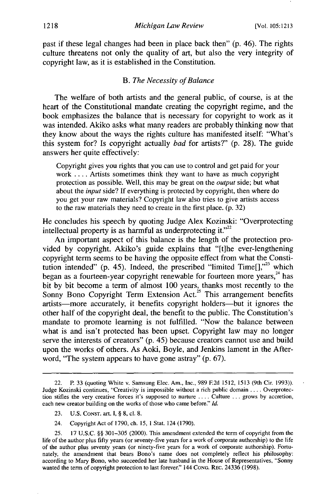past if these legal changes had been in place back then" **(p.** 46). The rights culture threatens not only the quality of art, but also the very integrity of copyright law, as it is established in the Constitution.

#### *B. The Necessity of Balance*

The welfare of both artists and the general public, of course, is at the heart of the Constitutional mandate creating the copyright regime, and the book emphasizes the balance that is necessary for copyright to work as it was intended. Akiko asks what many readers are probably thinking now that they know about the ways the rights culture has manifested itself: "What's this system for? Is copyright actually *bad* for artists?" **(p. 28).** The guide answers her quite effectively:

Copyright gives you rights that you can use to control and get paid for your work .... Artists sometimes think they want to have as much copyright protection as possible. Well, this may be great on the *output* side; but what about the *input* side? If everything is protected by copyright, then where do you get your raw materials? Copyright law also tries to give artists access to the raw materials they need to create in the first place. (p. 32)

He concludes his speech by quoting Judge Alex Kozinski: "Overprotecting intellectual property is as harmful as underprotecting it." $2^{22}$ 

An important aspect of this balance is the length of the protection provided by copyright. Akiko's guide explains that "[tlhe ever-lengthening copyright term seems to be having the opposite effect from what the Constitution intended" (p. 45). Indeed, the prescribed "limited  $Time[]$ ,"<sup>23</sup> which began as a fourteen-year copyright renewable for fourteen more years, $^{24}$  has bit by bit become a term of almost 100 years, thanks most recently to the Sonny Bono Copyright Term Extension Act.<sup>25</sup> This arrangement benefits artists-more accurately, it benefits copyright holders-but it ignores the other half of the copyright deal, the benefit to the public. The Constitution's mandate to promote learning is not fulfilled. "Now the balance between what is and isn't protected has been upset. Copyright law may no longer serve the interests of creators" (p. 45) because creators cannot use and build upon the works of others. As Aoki, Boyle, and Jenkins lament in the Afterword, "The system appears to have gone astray" (p. 67).

24. Copyright Act of 1790, ch. 15, 1 Stat. 124 (1790).

<sup>22.</sup> P. 33 (quoting White v. Samsung Elec. Am., Inc., 989 **F.2d** 1512, 1513 (9th Cir. 1993)). Judge Kozinski continues, "Creativity is impossible without a rich public domain **....** Overprotection stifles the very creative forces it's supposed to nurture .... Culture **...** grows by accretion, each new creator building on the works of those who came before." *Id.*

<sup>23.</sup> U.S. **CONST.** art. i, § 8, cl. 8.

<sup>25. 17</sup> U.S.C. §§ 301-305 (2000). This amendment extended the term of copyright from the life of the author plus fifty years (or seventy-five years for a work of corporate authorship) to the life of the author plus seventy years (or ninety-five years for a work of corporate authorship). Fortunately, the amendment that bears Bono's name does not completely reflect his philosophy: according to Mary Bono, who succeeded her late husband in the House of Representatives, "Sonny wanted the term of copyright protection to last forever." 144 CONG. REc. 24336 (1998).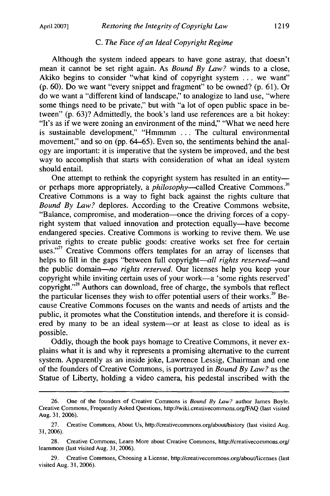### *C. The Face of an Ideal Copyright Regime*

Although the system indeed appears to have gone astray, that doesn't mean it cannot be set right again. As *Bound By Law?* winds to a close, Akiko begins to consider "what kind of copyright system ... we want" (p. 60). Do we want "every snippet and fragment" to be owned? (p. 61). Or do we want a "different kind of landscape," to analogize to land use, "where some things need to be private," but with "a lot of open public space in between" (p. 63)? Admittedly, the book's land use references are a bit hokey: "It's as if we were zoning an environment of the mind," "What we need here is sustainable development," "Hmmmm ... The cultural environmental movement," and so on (pp. 64–65). Even so, the sentiments behind the analogy are important: it is imperative that the system be improved, and the best way to accomplish that starts with consideration of what an ideal system should entail.

One attempt to rethink the copyright system has resulted in an entity-<br>or perhaps more appropriately, a *philosophy*--called Creative Commons.<sup>26</sup> Creative Commons is a way to fight back against the rights culture that *Bound By Law?* deplores. According to the Creative Commons website, "Balance, compromise, and moderation-once the driving forces of a copyright system that valued innovation and protection equally-have become endangered species. Creative Commons is working to revive them. We use private rights to create public goods: creative works set free for certain uses."<sup>27</sup> Creative Commons offers templates for an array of licenses that helps to fill in the gaps "between full copyright-*all rights reserved*--and the public domain-no *rights reserved.* Our licenses help you keep your copyright while inviting certain uses of your work-a 'some rights reserved' copyright."<sup>28</sup> Authors can download, free of charge, the symbols that reflect the particular licenses they wish to offer potential users of their works.<sup>29</sup> Because Creative Commons focuses on the wants and needs of artists and the public, it promotes what the Constitution intends, and therefore it is considered by many to be an ideal system-or at least as close to ideal as is possible.

Oddly, though the book pays homage to Creative Commons, it never explains what it is and why it represents a promising alternative to the current system. Apparently as an inside joke, Lawrence Lessig, Chairman and one of the founders of Creative Commons, is portrayed in *Bound By Law?* as the Statue of Liberty, holding a video camera, his pedestal inscribed with the

<sup>26.</sup> One of the founders of Creative Commons is *Bound By Law?* author James Boyle. Creative Commons, Frequently Asked Questions, http://wiki.creativecommons.org/FAQ (last visited Aug. 31, 2006).

<sup>27.</sup> Creative Commons, About Us, http://creativecommons.org/about/history (last visited Aug. 31,2006).

<sup>28.</sup> Creative Commons, Learn More about Creative Commons, http://creativecommons.org/ leammore (last visited Aug. 31, 2006).

**<sup>29.</sup>** Creative Commons, Choosing a License, http://creativecommons.org/about/licenses (last visited Aug. 31, 2006).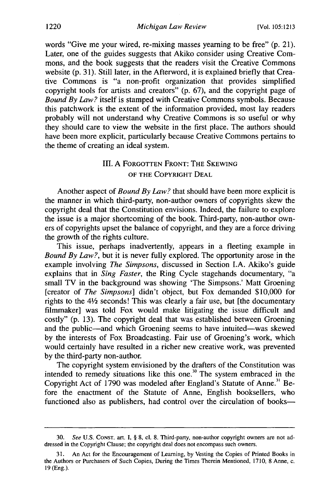words "Give me your wired, re-mixing masses yearning to be free" (p. 21). Later, one of the guides suggests that Akiko consider using Creative Commons, and the book suggests that the readers visit the Creative Commons website (p. 31). Still later, in the Afterword, it is explained briefly that Creative Commons is "a non-profit organization that provides simplified copyright tools for artists and creators" (p. 67), and the copyright page of *Bound By Law?* itself is stamped with Creative Commons symbols. Because this patchwork is the extent of the information provided, most lay readers probably will not understand why Creative Commons is so useful or why they should care to view the website in the first place. The authors should have been more explicit, particularly because Creative Commons pertains to the theme of creating an ideal system.

## III. A FORGOTTEN FRONT: THE **SKEWING** OF THE COPYRIGHT **DEAL**

Another aspect of *Bound By Law?* that should have been more explicit is the manner in which third-party, non-author owners of copyrights skew the copyright deal that the Constitution envisions. Indeed, the failure to explore the issue is a major shortcoming of the book. Third-party, non-author owners of copyrights upset the balance of copyright, and they are a force driving the growth of the rights culture.

This issue, perhaps inadvertently, appears in a fleeting example in *Bound By Law?,* but it is never fully explored. The opportunity arose in the example involving *The Simpsons,* discussed in Section I.A. Akiko's guide explains that in *Sing Faster,* the Ring Cycle stagehands documentary, "a small TV in the background was showing 'The Simpsons.' Matt Groening [creator of *The Simpsons]* didn't object, but Fox demanded \$10,000 for rights to the  $4\frac{1}{2}$  seconds! This was clearly a fair use, but [the documentary filmmaker] was told Fox would make litigating the issue difficult and costly" (p. 13). The copyright deal that was established between Groening and the public-and which Groening seems to have intuited-was skewed by the interests of Fox Broadcasting. Fair use of Groening's work, which would certainly have resulted in a richer new creative work, was prevented by the third-party non-author.

The copyright system envisioned by the drafters of the Constitution was intended to remedy situations like this one.3° The system embraced in the Copyright Act of 1790 was modeled after England's Statute of Anne.<sup>31</sup> Before the enactment of the Statute of Anne, English booksellers, who functioned also as publishers, had control over the circulation of books-

**<sup>30.</sup>** See **U.S. CONST.** art. **I,** § **8, cl. 8.** Third-party, non-author copyright owners are not addressed in the Copyright Clause; the copyright deal does not encompass such owners.

An Act for the Encouragement of Learning, by Vesting the Copies of Printed Books in the Authors or Purchasers of Such Copies, During the Times Therein Mentioned, 1710, 8 Anne, c. 19 (Eng.).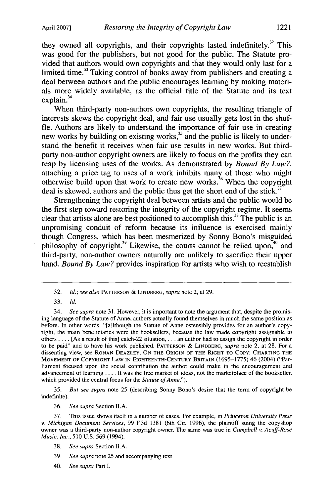they owned all copyrights, and their copyrights lasted indefinitely.<sup>32</sup> This was good for the publishers, but not good for the public. The Statute provided that authors would own copyrights and that they would only last for a limited time.<sup>33</sup> Taking control of books away from publishers and creating a deal between authors and the public encourages learning by making materials more widely available, as the official title of the Statute and its text explain **. 34**

When third-party non-authors own copyrights, the resulting triangle of interests skews the copyright deal, and fair use usually gets lost in the shuffle. Authors are likely to understand the importance of fair use in creating new works by building on existing works,<sup>35</sup> and the public is likely to understand the benefit it receives when fair use results in new works. But thirdparty non-author copyright owners are likely to focus on the profits they can reap by licensing uses of the works. As demonstrated by *Bound By Law?,* otherwise build upon that work to create new works.<sup>36</sup> When the copyright deal is skewed, authors and the public thus get the short end of the stick.<sup>3</sup>

Strengthening the copyright deal between artists and the public would be the first step toward restoring the integrity of the copyright regime. It seems clear that artists alone are best positioned to accomplish this.<sup>38</sup> The public is an unpromising conduit of reform because its influence is exercised mainly though Congress, which has been mesmerized by Sonny Bono's misguided philosophy of copyright.<sup>39</sup> Likewise, the courts cannot be relied upon,<sup>40</sup> and third-party, non-author owners naturally are unlikely to sacrifice their upper hand. *Bound By Law?* provides inspiration for artists who wish to reestablish

35. *But see supra* note 25 (describing Sonny Bono's desire that the term of copyright be indefinite).

36. *See supra* Section II.A.

**37.** This issue shows itself in a number of cases. For example, in *Princeton University Press v. Michigan Document Services,* 99 **F.3d 1381** (6th Cir. 1996), the plaintiff suing the copyshop owner was a third-party non-author copyright owner. The same was true in *Campbell v. Acuff-Rose* Music, Inc., **510** U.S. 569 (1994).

40. See supra Part *I.*

<sup>32.</sup> *Id.; see also* PATTERSON & LINDBERG, *supra* note 2, at 29.

<sup>33.</sup> *Id.*

<sup>34.</sup> *See supra* note 31. However, it is important to note the argument that, despite the promising language of the Statute of Anne, authors actually found themselves in much the same position as before. In other words, "[allthough the Statute of Anne ostensibly provides for an author's copyright, the main beneficiaries were the booksellers, because the law made copyright assignable to others .... [As a result of this] catch-22 situation, . **..** an author had to assign the copyright in order to be paid" and to have his work published. PATTERSON & LINDBERG, *supra* note 2, at 28. For a dissenting view, see **RONAN** DEAZLEY, ON THE ORIGIN OF THE RIGHT TO COPY: **CHARTING** THE **MOVEMENT OF** COPYRIGHT **LAW IN EIGHTEENTH-CENTURY** BRITAIN (1695-1775) 46 (2004) ("Parliament focused upon the social contribution the author could make in the encouragement and advancement of learning .... It was the free market of ideas, not the marketplace of the bookseller, which provided the central focus for the Statute *of Anne.").*

<sup>38.</sup> See supra Section **II.A.**

<sup>39.</sup> See *supra* note 25 and accompanying text.